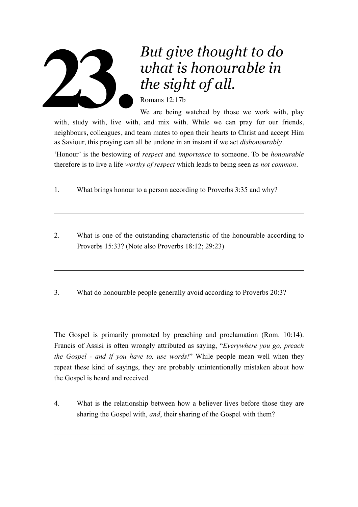

## *But give thought to do what is honourable in the sight of all.*

Romans 12:17b

We are being watched by those we work with, play with, study with, live with, and mix with. While we can pray for our friends, neighbours, colleagues, and team mates to open their hearts to Christ and accept Him as Saviour, this praying can all be undone in an instant if we act *dishonourably*.

'Honour' is the bestowing of *respect* and *importance* to someone. To be *honourable* therefore is to live a life *worthy of respect* which leads to being seen as *not common*.

- 1. What brings honour to a person according to Proverbs 3:35 and why?
- 2. What is one of the outstanding characteristic of the honourable according to Proverbs 15:33? (Note also Proverbs 18:12; 29:23)
- 3. What do honourable people generally avoid according to Proverbs 20:3?

The Gospel is primarily promoted by preaching and proclamation (Rom. 10:14). Francis of Assisi is often wrongly attributed as saying, "*Everywhere you go, preach the Gospel - and if you have to, use words!*" While people mean well when they repeat these kind of sayings, they are probably unintentionally mistaken about how the Gospel is heard and received.

4. What is the relationship between how a believer lives before those they are sharing the Gospel with, *and*, their sharing of the Gospel with them?